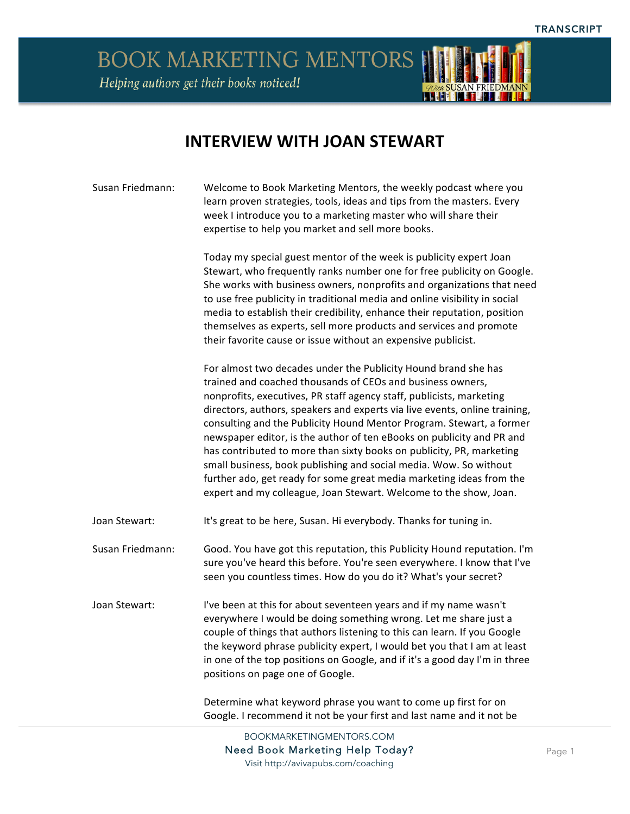BOOK MARKETING MENTORS Helping authors get their books noticed!



## **INTERVIEW WITH JOAN STEWART**

| Susan Friedmann: | Welcome to Book Marketing Mentors, the weekly podcast where you<br>learn proven strategies, tools, ideas and tips from the masters. Every<br>week I introduce you to a marketing master who will share their<br>expertise to help you market and sell more books.                                                                                                                                                                                                                                                                                                                                                                                                                                                             |
|------------------|-------------------------------------------------------------------------------------------------------------------------------------------------------------------------------------------------------------------------------------------------------------------------------------------------------------------------------------------------------------------------------------------------------------------------------------------------------------------------------------------------------------------------------------------------------------------------------------------------------------------------------------------------------------------------------------------------------------------------------|
|                  | Today my special guest mentor of the week is publicity expert Joan<br>Stewart, who frequently ranks number one for free publicity on Google.<br>She works with business owners, nonprofits and organizations that need<br>to use free publicity in traditional media and online visibility in social<br>media to establish their credibility, enhance their reputation, position<br>themselves as experts, sell more products and services and promote<br>their favorite cause or issue without an expensive publicist.                                                                                                                                                                                                       |
|                  | For almost two decades under the Publicity Hound brand she has<br>trained and coached thousands of CEOs and business owners,<br>nonprofits, executives, PR staff agency staff, publicists, marketing<br>directors, authors, speakers and experts via live events, online training,<br>consulting and the Publicity Hound Mentor Program. Stewart, a former<br>newspaper editor, is the author of ten eBooks on publicity and PR and<br>has contributed to more than sixty books on publicity, PR, marketing<br>small business, book publishing and social media. Wow. So without<br>further ado, get ready for some great media marketing ideas from the<br>expert and my colleague, Joan Stewart. Welcome to the show, Joan. |
| Joan Stewart:    | It's great to be here, Susan. Hi everybody. Thanks for tuning in.                                                                                                                                                                                                                                                                                                                                                                                                                                                                                                                                                                                                                                                             |
| Susan Friedmann: | Good. You have got this reputation, this Publicity Hound reputation. I'm<br>sure you've heard this before. You're seen everywhere. I know that I've<br>seen you countless times. How do you do it? What's your secret?                                                                                                                                                                                                                                                                                                                                                                                                                                                                                                        |
| Joan Stewart:    | I've been at this for about seventeen years and if my name wasn't<br>everywhere I would be doing something wrong. Let me share just a<br>couple of things that authors listening to this can learn. If you Google<br>the keyword phrase publicity expert, I would bet you that I am at least<br>in one of the top positions on Google, and if it's a good day I'm in three<br>positions on page one of Google.                                                                                                                                                                                                                                                                                                                |
|                  | Determine what keyword phrase you want to come up first for on                                                                                                                                                                                                                                                                                                                                                                                                                                                                                                                                                                                                                                                                |

Google. I recommend it not be your first and last name and it not be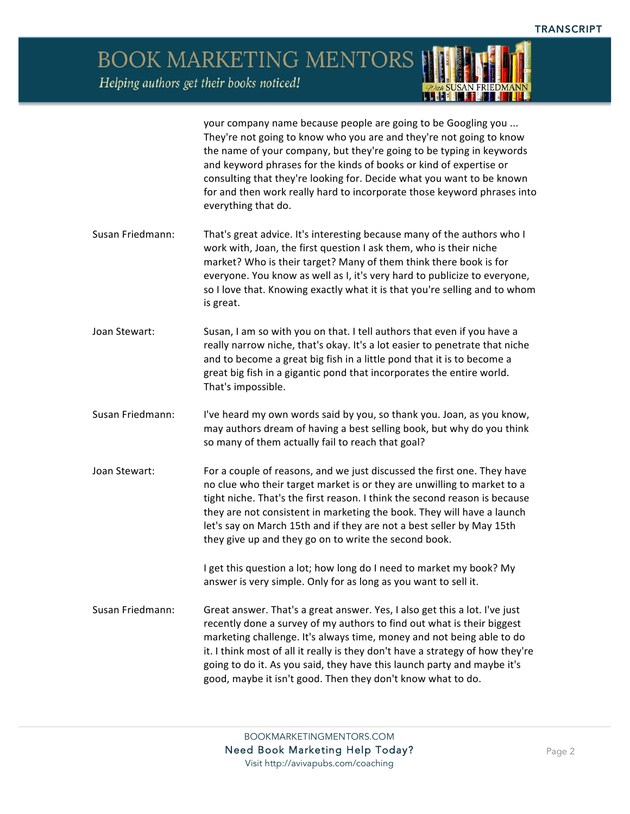**BOOK MARKETING MENTORS** Helping authors get their books noticed!

> your company name because people are going to be Googling you ... They're not going to know who you are and they're not going to know the name of your company, but they're going to be typing in keywords and keyword phrases for the kinds of books or kind of expertise or consulting that they're looking for. Decide what you want to be known for and then work really hard to incorporate those keyword phrases into everything that do.

- Susan Friedmann: That's great advice. It's interesting because many of the authors who I work with, Joan, the first question I ask them, who is their niche market? Who is their target? Many of them think there book is for everyone. You know as well as I, it's very hard to publicize to everyone, so I love that. Knowing exactly what it is that you're selling and to whom is great.
- Joan Stewart: Susan, I am so with you on that. I tell authors that even if you have a really narrow niche, that's okay. It's a lot easier to penetrate that niche and to become a great big fish in a little pond that it is to become a great big fish in a gigantic pond that incorporates the entire world. That's impossible.
- Susan Friedmann: I've heard my own words said by you, so thank you. Joan, as you know, may authors dream of having a best selling book, but why do you think so many of them actually fail to reach that goal?
- Joan Stewart: For a couple of reasons, and we just discussed the first one. They have no clue who their target market is or they are unwilling to market to a tight niche. That's the first reason. I think the second reason is because they are not consistent in marketing the book. They will have a launch let's say on March 15th and if they are not a best seller by May 15th they give up and they go on to write the second book.

I get this question a lot; how long do I need to market my book? My answer is very simple. Only for as long as you want to sell it.

Susan Friedmann: Great answer. That's a great answer. Yes, I also get this a lot. I've just recently done a survey of my authors to find out what is their biggest marketing challenge. It's always time, money and not being able to do it. I think most of all it really is they don't have a strategy of how they're going to do it. As you said, they have this launch party and maybe it's good, maybe it isn't good. Then they don't know what to do.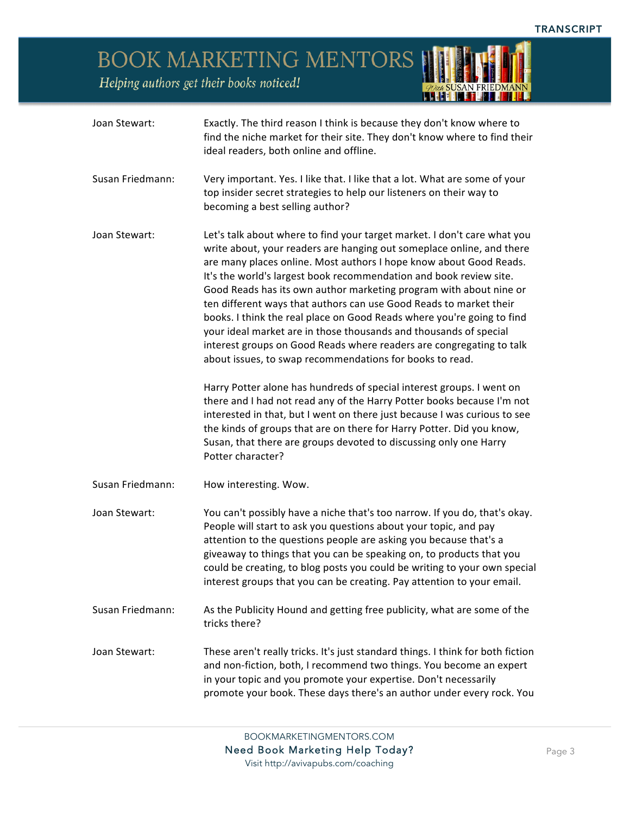*Quel* SUSAN FRIEDMANN

BOOK MARKETING MENTORS

| Joan Stewart:    | Exactly. The third reason I think is because they don't know where to<br>find the niche market for their site. They don't know where to find their<br>ideal readers, both online and offline.                                                                                                                                                                                                                                                                                                                                                                                                                                                                                                                                                                                                                                                                                                                                                                                                                                                                                                                                   |
|------------------|---------------------------------------------------------------------------------------------------------------------------------------------------------------------------------------------------------------------------------------------------------------------------------------------------------------------------------------------------------------------------------------------------------------------------------------------------------------------------------------------------------------------------------------------------------------------------------------------------------------------------------------------------------------------------------------------------------------------------------------------------------------------------------------------------------------------------------------------------------------------------------------------------------------------------------------------------------------------------------------------------------------------------------------------------------------------------------------------------------------------------------|
| Susan Friedmann: | Very important. Yes. I like that. I like that a lot. What are some of your<br>top insider secret strategies to help our listeners on their way to<br>becoming a best selling author?                                                                                                                                                                                                                                                                                                                                                                                                                                                                                                                                                                                                                                                                                                                                                                                                                                                                                                                                            |
| Joan Stewart:    | Let's talk about where to find your target market. I don't care what you<br>write about, your readers are hanging out someplace online, and there<br>are many places online. Most authors I hope know about Good Reads.<br>It's the world's largest book recommendation and book review site.<br>Good Reads has its own author marketing program with about nine or<br>ten different ways that authors can use Good Reads to market their<br>books. I think the real place on Good Reads where you're going to find<br>your ideal market are in those thousands and thousands of special<br>interest groups on Good Reads where readers are congregating to talk<br>about issues, to swap recommendations for books to read.<br>Harry Potter alone has hundreds of special interest groups. I went on<br>there and I had not read any of the Harry Potter books because I'm not<br>interested in that, but I went on there just because I was curious to see<br>the kinds of groups that are on there for Harry Potter. Did you know,<br>Susan, that there are groups devoted to discussing only one Harry<br>Potter character? |
| Susan Friedmann: | How interesting. Wow.                                                                                                                                                                                                                                                                                                                                                                                                                                                                                                                                                                                                                                                                                                                                                                                                                                                                                                                                                                                                                                                                                                           |
| Joan Stewart:    | You can't possibly have a niche that's too narrow. If you do, that's okay.<br>People will start to ask you questions about your topic, and pay<br>attention to the questions people are asking you because that's a<br>giveaway to things that you can be speaking on, to products that you<br>could be creating, to blog posts you could be writing to your own special<br>interest groups that you can be creating. Pay attention to your email.                                                                                                                                                                                                                                                                                                                                                                                                                                                                                                                                                                                                                                                                              |
| Susan Friedmann: | As the Publicity Hound and getting free publicity, what are some of the<br>tricks there?                                                                                                                                                                                                                                                                                                                                                                                                                                                                                                                                                                                                                                                                                                                                                                                                                                                                                                                                                                                                                                        |
| Joan Stewart:    | These aren't really tricks. It's just standard things. I think for both fiction<br>and non-fiction, both, I recommend two things. You become an expert<br>in your topic and you promote your expertise. Don't necessarily<br>promote your book. These days there's an author under every rock. You                                                                                                                                                                                                                                                                                                                                                                                                                                                                                                                                                                                                                                                                                                                                                                                                                              |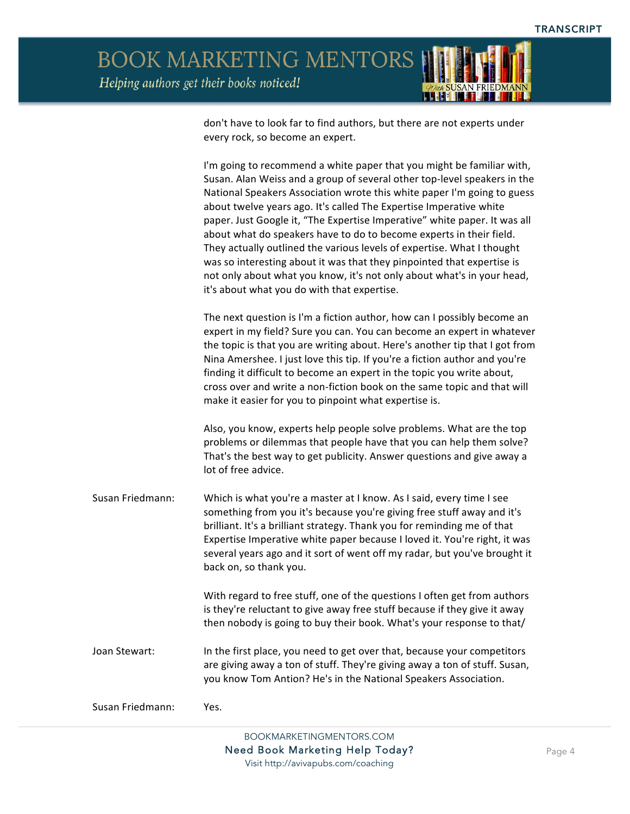**BOOK MARKETING MENTORS** Helping authors get their books noticed!



don't have to look far to find authors, but there are not experts under every rock, so become an expert.

I'm going to recommend a white paper that you might be familiar with, Susan. Alan Weiss and a group of several other top-level speakers in the National Speakers Association wrote this white paper I'm going to guess about twelve years ago. It's called The Expertise Imperative white paper. Just Google it, "The Expertise Imperative" white paper. It was all about what do speakers have to do to become experts in their field. They actually outlined the various levels of expertise. What I thought was so interesting about it was that they pinpointed that expertise is not only about what you know, it's not only about what's in your head, it's about what you do with that expertise.

The next question is I'm a fiction author, how can I possibly become an expert in my field? Sure you can. You can become an expert in whatever the topic is that you are writing about. Here's another tip that I got from Nina Amershee. I just love this tip. If you're a fiction author and you're finding it difficult to become an expert in the topic you write about, cross over and write a non-fiction book on the same topic and that will make it easier for you to pinpoint what expertise is.

Also, you know, experts help people solve problems. What are the top problems or dilemmas that people have that you can help them solve? That's the best way to get publicity. Answer questions and give away a lot of free advice.

Susan Friedmann: Which is what you're a master at I know. As I said, every time I see something from you it's because you're giving free stuff away and it's brilliant. It's a brilliant strategy. Thank you for reminding me of that Expertise Imperative white paper because I loved it. You're right, it was several years ago and it sort of went off my radar, but you've brought it back on, so thank you.

> With regard to free stuff, one of the questions I often get from authors is they're reluctant to give away free stuff because if they give it away then nobody is going to buy their book. What's your response to that/

Joan Stewart: In the first place, you need to get over that, because your competitors are giving away a ton of stuff. They're giving away a ton of stuff. Susan, you know Tom Antion? He's in the National Speakers Association.

Susan Friedmann: Yes.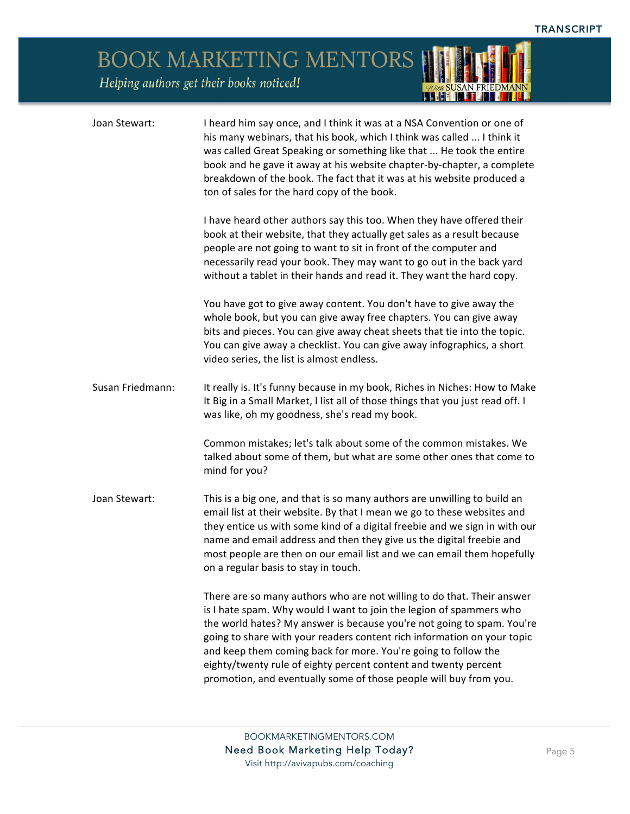*Quel* SUSAN FRIEDMANN

BOOK MARKETING MENTORS

| Joan Stewart:    | I heard him say once, and I think it was at a NSA Convention or one of<br>his many webinars, that his book, which I think was called  I think it<br>was called Great Speaking or something like that  He took the entire<br>book and he gave it away at his website chapter-by-chapter, a complete<br>breakdown of the book. The fact that it was at his website produced a<br>ton of sales for the hard copy of the book.                                                                                   |
|------------------|--------------------------------------------------------------------------------------------------------------------------------------------------------------------------------------------------------------------------------------------------------------------------------------------------------------------------------------------------------------------------------------------------------------------------------------------------------------------------------------------------------------|
|                  | I have heard other authors say this too. When they have offered their<br>book at their website, that they actually get sales as a result because<br>people are not going to want to sit in front of the computer and<br>necessarily read your book. They may want to go out in the back yard<br>without a tablet in their hands and read it. They want the hard copy.                                                                                                                                        |
|                  | You have got to give away content. You don't have to give away the<br>whole book, but you can give away free chapters. You can give away<br>bits and pieces. You can give away cheat sheets that tie into the topic.<br>You can give away a checklist. You can give away infographics, a short<br>video series, the list is almost endless.                                                                                                                                                                  |
| Susan Friedmann: | It really is. It's funny because in my book, Riches in Niches: How to Make<br>It Big in a Small Market, I list all of those things that you just read off. I<br>was like, oh my goodness, she's read my book.                                                                                                                                                                                                                                                                                                |
|                  | Common mistakes; let's talk about some of the common mistakes. We<br>talked about some of them, but what are some other ones that come to<br>mind for you?                                                                                                                                                                                                                                                                                                                                                   |
| Joan Stewart:    | This is a big one, and that is so many authors are unwilling to build an<br>email list at their website. By that I mean we go to these websites and<br>they entice us with some kind of a digital freebie and we sign in with our<br>name and email address and then they give us the digital freebie and<br>most people are then on our email list and we can email them hopefully<br>on a regular basis to stay in touch.                                                                                  |
|                  | There are so many authors who are not willing to do that. Their answer<br>is I hate spam. Why would I want to join the legion of spammers who<br>the world hates? My answer is because you're not going to spam. You're<br>going to share with your readers content rich information on your topic<br>and keep them coming back for more. You're going to follow the<br>eighty/twenty rule of eighty percent content and twenty percent<br>promotion, and eventually some of those people will buy from you. |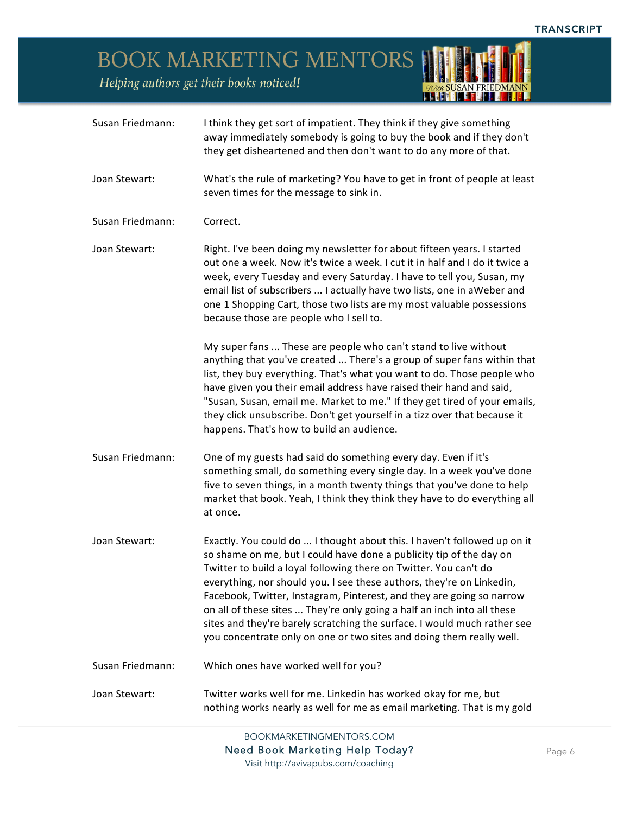*Quel* SUSAN FRIEDMANN

BOOK MARKETING MENTORS

| Susan Friedmann: | I think they get sort of impatient. They think if they give something<br>away immediately somebody is going to buy the book and if they don't<br>they get disheartened and then don't want to do any more of that.                                                                                                                                                                                                                                                                                                                                                                                    |
|------------------|-------------------------------------------------------------------------------------------------------------------------------------------------------------------------------------------------------------------------------------------------------------------------------------------------------------------------------------------------------------------------------------------------------------------------------------------------------------------------------------------------------------------------------------------------------------------------------------------------------|
| Joan Stewart:    | What's the rule of marketing? You have to get in front of people at least<br>seven times for the message to sink in.                                                                                                                                                                                                                                                                                                                                                                                                                                                                                  |
| Susan Friedmann: | Correct.                                                                                                                                                                                                                                                                                                                                                                                                                                                                                                                                                                                              |
| Joan Stewart:    | Right. I've been doing my newsletter for about fifteen years. I started<br>out one a week. Now it's twice a week. I cut it in half and I do it twice a<br>week, every Tuesday and every Saturday. I have to tell you, Susan, my<br>email list of subscribers  I actually have two lists, one in aWeber and<br>one 1 Shopping Cart, those two lists are my most valuable possessions<br>because those are people who I sell to.                                                                                                                                                                        |
|                  | My super fans  These are people who can't stand to live without<br>anything that you've created  There's a group of super fans within that<br>list, they buy everything. That's what you want to do. Those people who<br>have given you their email address have raised their hand and said,<br>"Susan, Susan, email me. Market to me." If they get tired of your emails,<br>they click unsubscribe. Don't get yourself in a tizz over that because it<br>happens. That's how to build an audience.                                                                                                   |
| Susan Friedmann: | One of my guests had said do something every day. Even if it's<br>something small, do something every single day. In a week you've done<br>five to seven things, in a month twenty things that you've done to help<br>market that book. Yeah, I think they think they have to do everything all<br>at once.                                                                                                                                                                                                                                                                                           |
| Joan Stewart:    | Exactly. You could do  I thought about this. I haven't followed up on it<br>so shame on me, but I could have done a publicity tip of the day on<br>Twitter to build a loyal following there on Twitter. You can't do<br>everything, nor should you. I see these authors, they're on Linkedin,<br>Facebook, Twitter, Instagram, Pinterest, and they are going so narrow<br>on all of these sites  They're only going a half an inch into all these<br>sites and they're barely scratching the surface. I would much rather see<br>you concentrate only on one or two sites and doing them really well. |
| Susan Friedmann: | Which ones have worked well for you?                                                                                                                                                                                                                                                                                                                                                                                                                                                                                                                                                                  |
| Joan Stewart:    | Twitter works well for me. Linkedin has worked okay for me, but<br>nothing works nearly as well for me as email marketing. That is my gold                                                                                                                                                                                                                                                                                                                                                                                                                                                            |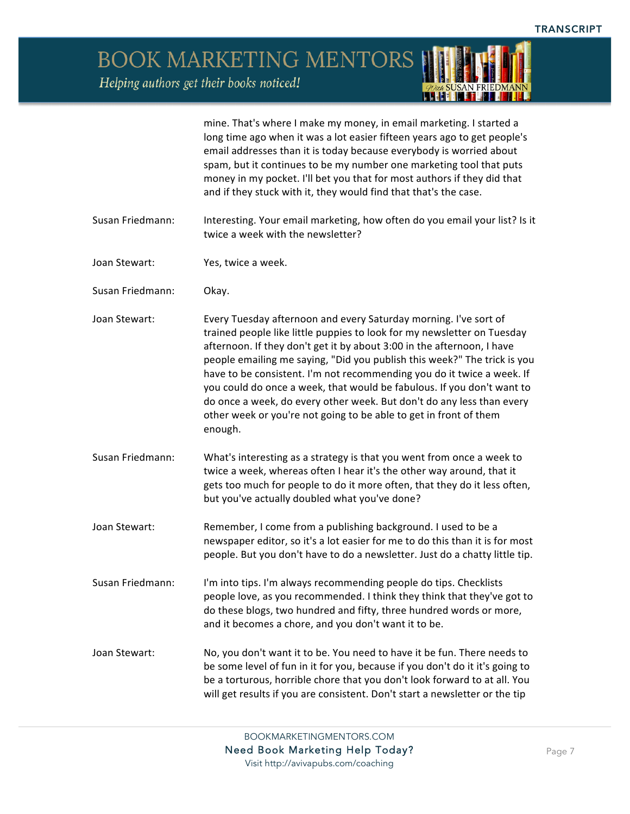*ODER SUSAN FRIEDMANN* 

BOOK MARKETING MENTORS

|                  | mine. That's where I make my money, in email marketing. I started a<br>long time ago when it was a lot easier fifteen years ago to get people's<br>email addresses than it is today because everybody is worried about<br>spam, but it continues to be my number one marketing tool that puts<br>money in my pocket. I'll bet you that for most authors if they did that<br>and if they stuck with it, they would find that that's the case.                                                                                                                                                                   |
|------------------|----------------------------------------------------------------------------------------------------------------------------------------------------------------------------------------------------------------------------------------------------------------------------------------------------------------------------------------------------------------------------------------------------------------------------------------------------------------------------------------------------------------------------------------------------------------------------------------------------------------|
| Susan Friedmann: | Interesting. Your email marketing, how often do you email your list? Is it<br>twice a week with the newsletter?                                                                                                                                                                                                                                                                                                                                                                                                                                                                                                |
| Joan Stewart:    | Yes, twice a week.                                                                                                                                                                                                                                                                                                                                                                                                                                                                                                                                                                                             |
| Susan Friedmann: | Okay.                                                                                                                                                                                                                                                                                                                                                                                                                                                                                                                                                                                                          |
| Joan Stewart:    | Every Tuesday afternoon and every Saturday morning. I've sort of<br>trained people like little puppies to look for my newsletter on Tuesday<br>afternoon. If they don't get it by about 3:00 in the afternoon, I have<br>people emailing me saying, "Did you publish this week?" The trick is you<br>have to be consistent. I'm not recommending you do it twice a week. If<br>you could do once a week, that would be fabulous. If you don't want to<br>do once a week, do every other week. But don't do any less than every<br>other week or you're not going to be able to get in front of them<br>enough. |
| Susan Friedmann: | What's interesting as a strategy is that you went from once a week to<br>twice a week, whereas often I hear it's the other way around, that it<br>gets too much for people to do it more often, that they do it less often,<br>but you've actually doubled what you've done?                                                                                                                                                                                                                                                                                                                                   |
| Joan Stewart:    | Remember, I come from a publishing background. I used to be a<br>newspaper editor, so it's a lot easier for me to do this than it is for most<br>people. But you don't have to do a newsletter. Just do a chatty little tip.                                                                                                                                                                                                                                                                                                                                                                                   |
| Susan Friedmann: | I'm into tips. I'm always recommending people do tips. Checklists<br>people love, as you recommended. I think they think that they've got to<br>do these blogs, two hundred and fifty, three hundred words or more,<br>and it becomes a chore, and you don't want it to be.                                                                                                                                                                                                                                                                                                                                    |
| Joan Stewart:    | No, you don't want it to be. You need to have it be fun. There needs to<br>be some level of fun in it for you, because if you don't do it it's going to<br>be a torturous, horrible chore that you don't look forward to at all. You<br>will get results if you are consistent. Don't start a newsletter or the tip                                                                                                                                                                                                                                                                                            |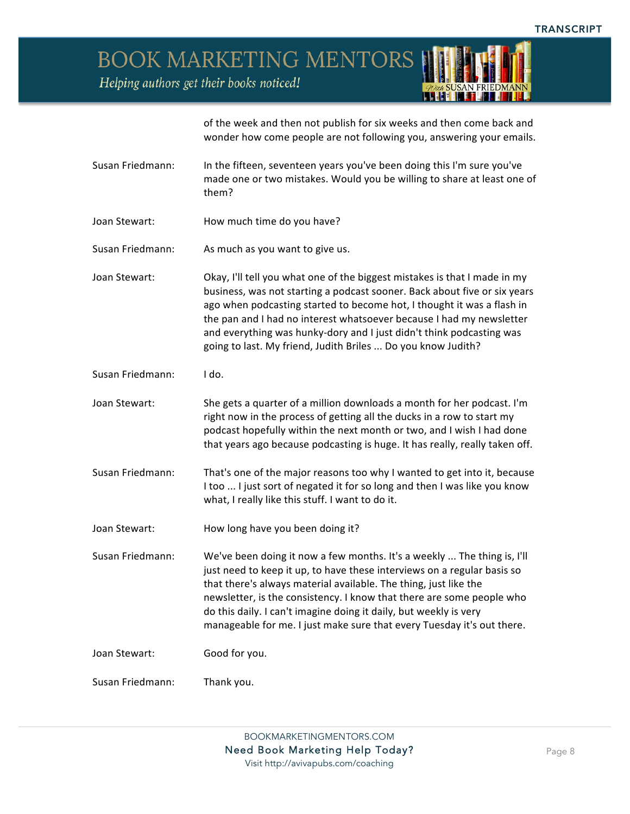**BOOK MARKETING MENTORS** 

Helping authors get their books noticed!



of the week and then not publish for six weeks and then come back and wonder how come people are not following you, answering your emails.

- Susan Friedmann: In the fifteen, seventeen years you've been doing this I'm sure you've made one or two mistakes. Would you be willing to share at least one of them?
- Joan Stewart: How much time do you have?
- Susan Friedmann: As much as you want to give us.
- Joan Stewart: Okay, I'll tell you what one of the biggest mistakes is that I made in my business, was not starting a podcast sooner. Back about five or six years ago when podcasting started to become hot, I thought it was a flash in the pan and I had no interest whatsoever because I had my newsletter and everything was hunky-dory and I just didn't think podcasting was going to last. My friend, Judith Briles ... Do you know Judith?
- Susan Friedmann: I do.

Joan Stewart: She gets a quarter of a million downloads a month for her podcast. I'm right now in the process of getting all the ducks in a row to start my podcast hopefully within the next month or two, and I wish I had done that years ago because podcasting is huge. It has really, really taken off.

- Susan Friedmann: That's one of the major reasons too why I wanted to get into it, because I too ... I just sort of negated it for so long and then I was like you know what, I really like this stuff. I want to do it.
- Joan Stewart: How long have you been doing it?
- Susan Friedmann: We've been doing it now a few months. It's a weekly ... The thing is, I'll just need to keep it up, to have these interviews on a regular basis so that there's always material available. The thing, just like the newsletter, is the consistency. I know that there are some people who do this daily. I can't imagine doing it daily, but weekly is very manageable for me. I just make sure that every Tuesday it's out there.

Joan Stewart: Good for you.

Susan Friedmann: Thank you.